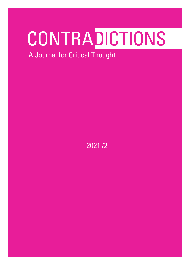# **CONTRADICTIONS**

A Journal for Critical Thought

2021 /2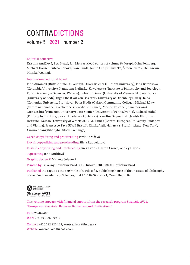# **CONTRADICTIONS**

volume 5 2021 number 2

#### Editorial collective

Kristina Andělová, Petr Kužel, Jan Mervart (lead editors of volume 5), Joseph Grim Feinberg, Michael Hauser, Ľubica Kobová, Ivan Landa, Jakub Ort, Jiří Růžička, Šimon Svěrák, Dan Swain, Monika Woźniak

#### International editorial board

John Abromeit (Buffalo State University), Oliver Belcher (Durham University), Jana Beránková (Columbia University), Katarzyna Bielińska-Kowalewska (Institute of Philosophy and Sociology, Polish Academy of Sciences, Warsaw), Ľubomír Dunaj (University of Vienna), Elżbieta Durys (University of Łódź), Ingo Elbe (Carl von Ossietzky University of Oldenburg), Juraj Halas (Comenius University, Bratislava), Peter Hudis (Oakton Community College), Michael Löwy (Centre national de la recherche scientifique, France), Moishe Postone (in memoriam), Nick Nesbitt (Princeton University), Petr Steiner (University of Pennsylvania), Richard Sťahel (Philosophy Institute, Slovak Academy of Sciences), Karolina Szymaniak (Jewish Historical Institute, Warsaw; University of Wrocław), G. M. Tamás (Central European University, Budapest and Vienna), Francesco Tava (UWE Bristol), Zhivka Valiavicharska (Pratt Institute, New York), Xinruo Zhang (Shanghai Stock Exchange)

Czech copyediting and proofreading Pavla Toráčová Slovak copyediting and proofreading Silvia Ruppeldtová English copyediting and proofreading Greg Evans, Darren Crown, Ashley Davies Typesetting Jana Andrlová Graphic design © Markéta Jelenová

Printed by Tiskárny Havlíčkův Brod, a.s., Husova 1881, 580 01 Havlíčkův Brod

Published in Prague as the 559<sup>th</sup> title of © Filosofia, publishing house of the Institute of Philosophy of the Czech Academy of Sciences, Jilská 1, 110 00 Praha 1, Czech Republic



This volume appears with financial support from the research program Strategie AV21, "Europe and the State: Between Barbarism and Civilisation."

ISSN 2570-7485 ISBN 978-80-7007-706-1

Contact +420 222 220 124, kontradikce@flu.cas.cz Website kontradikce.flu.cas.cz/en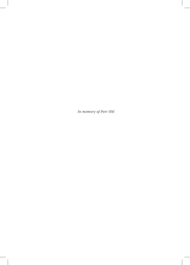*In memory of Petr Uhl*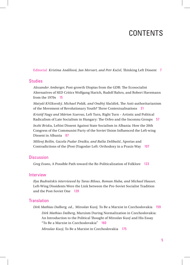## CONTENTS

Editorial *Kristina Andělová, Jan Mervart, and Petr Kužel*, Thinking Left Dissent 7

#### **Studies**

*Alexander Amberger*, Post-growth Utopias from the GDR: The Ecosocialist Alternatives of SED Critics Wolfgang Harich, Rudolf Bahro, and Robert Havemann from the 1970s 15

*Matyáš Křížkovský, Michael Polák, and Ondřej Slačálek*, The Anti-authoritarianism of the Movement of Revolutionary Youth? Three Contextualisations 31

*Kristóf Nagy and Márton Szarvas*, Left Turn, Right Turn – Artistic and Political Radicalism of Late Socialism in Hungary: The Orfeo and the Inconnu Groups 57

*Inxhi Brisku*, Leftist Dissent Against State Socialism in Albania: How the 20th Congress of the Communist Party of the Soviet Union Influenced the Left-wing Dissent in Albania 87

*Milivoj Bešlin, Gazela Pudar Draško, and Balša Delibašić*, Aporias and Contradictions of the (Post-)Yugoslav Left: Orthodoxy in a Praxis Way 107

#### **Discussion**

*Greg Evans*, A Possible Path toward the Re-Politicalization of Folklore 123

#### Interview

*Ilya Budraitskis interviewed by Taras Bilous, Roman Huba, and Michael Hauser,*  Left-Wing Dissidents Were the Link between the Pre-Soviet Socialist Tradition and the Post-Soviet One 139

## **Translation**

*Dirk Mathias Dalberg, ed.*, Miroslav Kusý, To Be a Marxist in Czechoslovakia 159

*Dirk Mathias Dalberg*, Marxism During Normalization in Czechoslovakia: An Introduction to the Political Thought of Miroslav Kusý and His Essay "To Be a Marxist in Czechoslovakia" 160

*Miroslav Kusý*, To Be a Marxist in Czechoslovakia 175